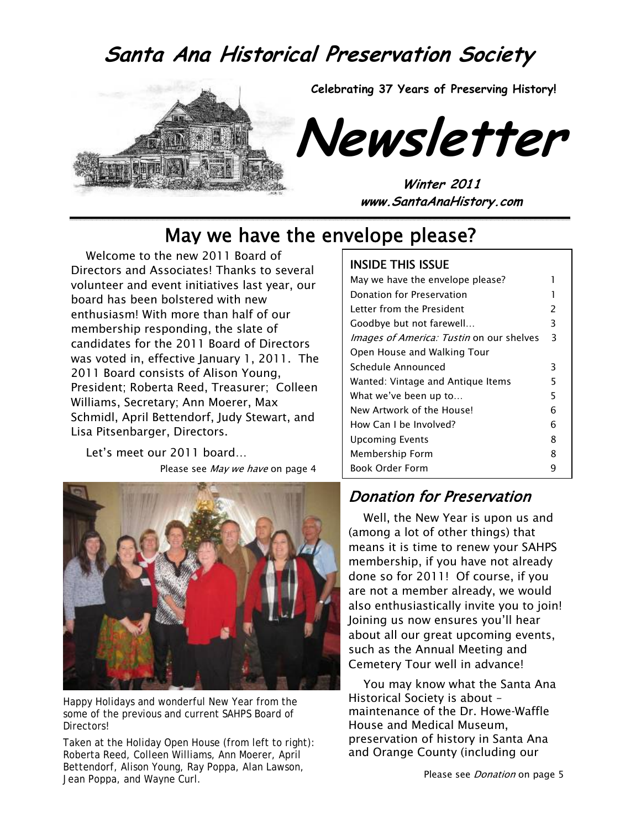### **Santa Ana Historical Preservation Society**



### May we have the envelope please?

Welcome to the new 2011 Board of Directors and Associates! Thanks to several volunteer and event initiatives last year, our board has been bolstered with new enthusiasm! With more than half of our membership responding, the slate of candidates for the 2011 Board of Directors was voted in, effective January 1, 2011. The 2011 Board consists of Alison Young, President; Roberta Reed, Treasurer; Colleen Williams, Secretary; Ann Moerer, Max Schmidl, April Bettendorf, Judy Stewart, and Lisa Pitsenbarger, Directors.

Let's meet our 2011 board… Please see May we have on page 4



Happy Holidays and wonderful New Year from the some of the previous and current SAHPS Board of Directors!

Taken at the Holiday Open House (from left to right): Roberta Reed, Colleen Williams, Ann Moerer, April Bettendorf, Alison Young, Ray Poppa, Alan Lawson, Jean Poppa, and Wayne Curl.

### INSIDE THIS ISSUE

| May we have the envelope please?         |               |
|------------------------------------------|---------------|
| Donation for Preservation                |               |
| I etter from the President               | $\mathcal{P}$ |
| Goodbye but not farewell                 | 3             |
| Images of America: Tustin on our shelves | 3             |
| Open House and Walking Tour              |               |
| Schedule Announced                       | 3             |
| Wanted: Vintage and Antique Items        | 5             |
| What we've been up to                    | 5             |
| New Artwork of the Housel                | 6             |
| How Can Lbe Involved?                    | 6             |
| <b>Upcoming Events</b>                   | 8             |
| Membership Form                          | 8             |
| <b>Book Order Form</b>                   | q             |

### Donation for Preservation

Well, the New Year is upon us and (among a lot of other things) that means it is time to renew your SAHPS membership, if you have not already done so for 2011! Of course, if you are not a member already, we would also enthusiastically invite you to join! Joining us now ensures you'll hear about all our great upcoming events, such as the Annual Meeting and Cemetery Tour well in advance!

You may know what the Santa Ana Historical Society is about – maintenance of the Dr. Howe-Waffle House and Medical Museum, preservation of history in Santa Ana and Orange County (including our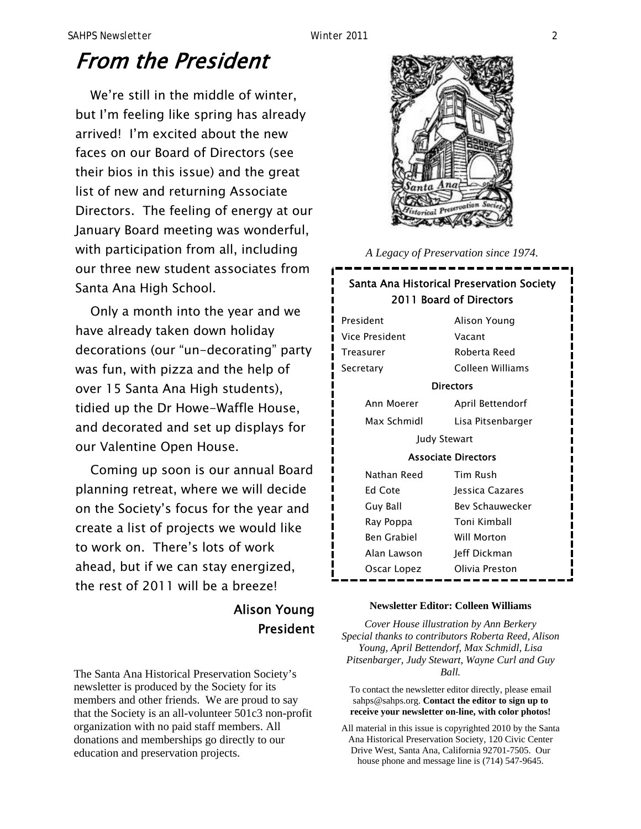# From the President

We're still in the middle of winter, but I'm feeling like spring has already arrived! I'm excited about the new faces on our Board of Directors (see their bios in this issue) and the great list of new and returning Associate Directors. The feeling of energy at our January Board meeting was wonderful, with participation from all, including our three new student associates from Santa Ana High School.

Only a month into the year and we have already taken down holiday decorations (our "un-decorating" party was fun, with pizza and the help of over 15 Santa Ana High students), tidied up the Dr Howe-Waffle House, and decorated and set up displays for our Valentine Open House.

Coming up soon is our annual Board planning retreat, where we will decide on the Society's focus for the year and create a list of projects we would like to work on. There's lots of work ahead, but if we can stay energized, the rest of 2011 will be a breeze!

### Alison Young President

The Santa Ana Historical Preservation Society's newsletter is produced by the Society for its members and other friends. We are proud to say that the Society is an all-volunteer 501c3 non-profit organization with no paid staff members. All donations and memberships go directly to our education and preservation projects.



*A Legacy of Preservation since 1974.* 

### Santa Ana Historical Preservation Society 2011 Board of Directors

President Alison Young Vice President Vacant Treasurer Roberta Reed Secretary Colleen Williams **Directors**  Ann Moerer April Bettendorf Max Schmidl Lisa Pitsenbarger Judy Stewart Associate Directors Nathan Reed Tim Rush Ed Cote **Iessica Cazares** Guy Ball Bev Schauwecker Ray Poppa Toni Kimball Ben Grabiel Will Morton Alan Lawson Jeff Dickman Oscar Lopez Olivia Preston

### **Newsletter Editor: Colleen Williams**

*Cover House illustration by Ann Berkery Special thanks to contributors Roberta Reed, Alison Young, April Bettendorf, Max Schmidl, Lisa Pitsenbarger, Judy Stewart, Wayne Curl and Guy Ball.* 

To contact the newsletter editor directly, please email sahps@sahps.org. **Contact the editor to sign up to receive your newsletter on-line, with color photos!**

All material in this issue is copyrighted 2010 by the Santa Ana Historical Preservation Society, 120 Civic Center Drive West, Santa Ana, California 92701-7505. Our house phone and message line is (714) 547-9645.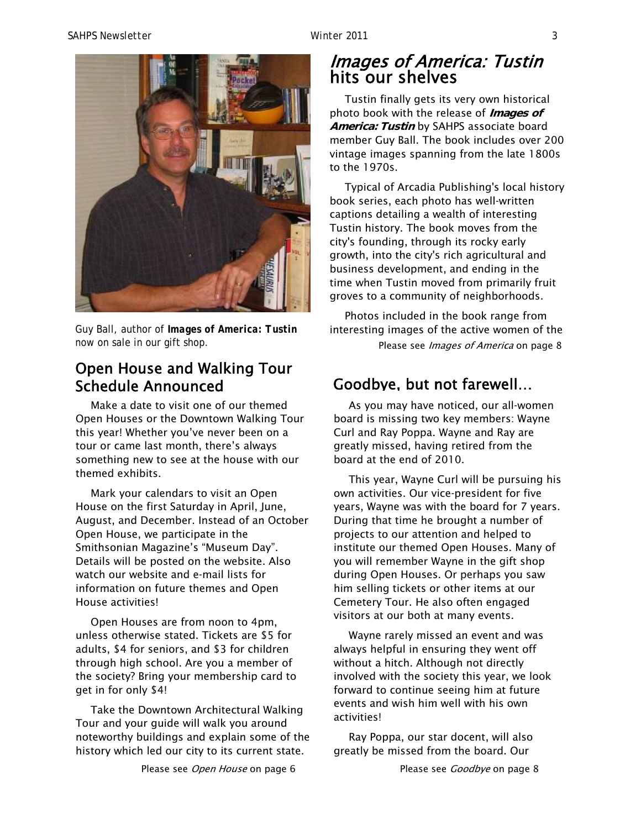

Guy Ball, author of *Images of America: Tustin* now on sale in our gift shop.

### Open House and Walking Tour Schedule Announced

Make a date to visit one of our themed Open Houses or the Downtown Walking Tour this year! Whether you've never been on a tour or came last month, there's always something new to see at the house with our themed exhibits.

Mark your calendars to visit an Open House on the first Saturday in April, June, August, and December. Instead of an October Open House, we participate in the Smithsonian Magazine's "Museum Day". Details will be posted on the website. Also watch our website and e-mail lists for information on future themes and Open House activities!

Open Houses are from noon to 4pm, unless otherwise stated. Tickets are \$5 for adults, \$4 for seniors, and \$3 for children through high school. Are you a member of the society? Bring your membership card to get in for only \$4!

Take the Downtown Architectural Walking Tour and your guide will walk you around noteworthy buildings and explain some of the history which led our city to its current state.

Please see Open House on page 6

### Images of America: Tustin hits our shelves

Tustin finally gets its very own historical photo book with the release of **Images of America: Tustin** by SAHPS associate board member Guy Ball. The book includes over 200 vintage images spanning from the late 1800s to the 1970s.

Typical of Arcadia Publishing's local history book series, each photo has well-written captions detailing a wealth of interesting Tustin history. The book moves from the city's founding, through its rocky early growth, into the city's rich agricultural and business development, and ending in the time when Tustin moved from primarily fruit groves to a community of neighborhoods.

Photos included in the book range from interesting images of the active women of the Please see Images of America on page 8

### Goodbye, but not farewell…

As you may have noticed, our all-women board is missing two key members: Wayne Curl and Ray Poppa. Wayne and Ray are greatly missed, having retired from the board at the end of 2010.

This year, Wayne Curl will be pursuing his own activities. Our vice-president for five years, Wayne was with the board for 7 years. During that time he brought a number of projects to our attention and helped to institute our themed Open Houses. Many of you will remember Wayne in the gift shop during Open Houses. Or perhaps you saw him selling tickets or other items at our Cemetery Tour. He also often engaged visitors at our both at many events.

Wayne rarely missed an event and was always helpful in ensuring they went off without a hitch. Although not directly involved with the society this year, we look forward to continue seeing him at future events and wish him well with his own activities!

Ray Poppa, our star docent, will also greatly be missed from the board. Our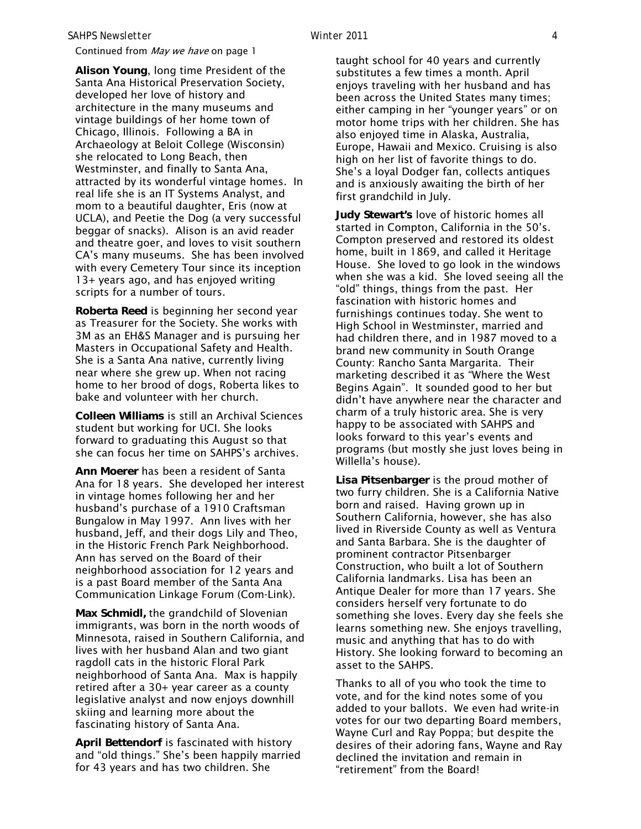#### *SAHPS Newsletter Winter 2011 4*

#### Continued from May we have on page 1

**Alison Young**, long time President of the Santa Ana Historical Preservation Society, developed her love of history and architecture in the many museums and vintage buildings of her home town of Chicago, Illinois. Following a BA in Archaeology at Beloit College (Wisconsin) she relocated to Long Beach, then Westminster, and finally to Santa Ana, attracted by its wonderful vintage homes. In real life she is an IT Systems Analyst, and mom to a beautiful daughter, Eris (now at UCLA), and Peetie the Dog (a very successful beggar of snacks). Alison is an avid reader and theatre goer, and loves to visit southern CA's many museums. She has been involved with every Cemetery Tour since its inception 13+ years ago, and has enjoyed writing scripts for a number of tours.

**Roberta Reed** is beginning her second year as Treasurer for the Society. She works with 3M as an EH&S Manager and is pursuing her Masters in Occupational Safety and Health. She is a Santa Ana native, currently living near where she grew up. When not racing home to her brood of dogs, Roberta likes to bake and volunteer with her church.

**Colleen Williams** is still an Archival Sciences student but working for UCI. She looks forward to graduating this August so that she can focus her time on SAHPS's archives.

**Ann Moerer** has been a resident of Santa Ana for 18 years. She developed her interest in vintage homes following her and her husband's purchase of a 1910 Craftsman Bungalow in May 1997. Ann lives with her husband, Jeff, and their dogs Lily and Theo, in the Historic French Park Neighborhood. Ann has served on the Board of their neighborhood association for 12 years and is a past Board member of the Santa Ana Communication Linkage Forum (Com-Link).

**Max Schmidl,** the grandchild of Slovenian immigrants, was born in the north woods of Minnesota, raised in Southern California, and lives with her husband Alan and two giant ragdoll cats in the historic Floral Park neighborhood of Santa Ana. Max is happily retired after a 30+ year career as a county legislative analyst and now enjoys downhill skiing and learning more about the fascinating history of Santa Ana.

**April Bettendorf** is fascinated with history and "old things." She's been happily married for 43 years and has two children. She

taught school for 40 years and currently substitutes a few times a month. April enjoys traveling with her husband and has been across the United States many times; either camping in her "younger years" or on motor home trips with her children. She has also enjoyed time in Alaska, Australia, Europe, Hawaii and Mexico. Cruising is also high on her list of favorite things to do. She's a loyal Dodger fan, collects antiques and is anxiously awaiting the birth of her first grandchild in July.

**Judy Stewart's** love of historic homes all started in Compton, California in the 50's. Compton preserved and restored its oldest home, built in 1869, and called it Heritage House. She loved to go look in the windows when she was a kid. She loved seeing all the "old" things, things from the past. Her fascination with historic homes and furnishings continues today. She went to High School in Westminster, married and had children there, and in 1987 moved to a brand new community in South Orange County: Rancho Santa Margarita. Their marketing described it as "Where the West Begins Again". It sounded good to her but didn't have anywhere near the character and charm of a truly historic area. She is very happy to be associated with SAHPS and looks forward to this year's events and programs (but mostly she just loves being in Willella's house).

**Lisa Pitsenbarger** is the proud mother of two furry children. She is a California Native born and raised. Having grown up in Southern California, however, she has also lived in Riverside County as well as Ventura and Santa Barbara. She is the daughter of prominent contractor Pitsenbarger Construction, who built a lot of Southern California landmarks. Lisa has been an Antique Dealer for more than 17 years. She considers herself very fortunate to do something she loves. Every day she feels she learns something new. She enjoys travelling, music and anything that has to do with History. She looking forward to becoming an asset to the SAHPS.

Thanks to all of you who took the time to vote, and for the kind notes some of you added to your ballots. We even had write-in votes for our two departing Board members, Wayne Curl and Ray Poppa; but despite the desires of their adoring fans, Wayne and Ray declined the invitation and remain in "retirement" from the Board!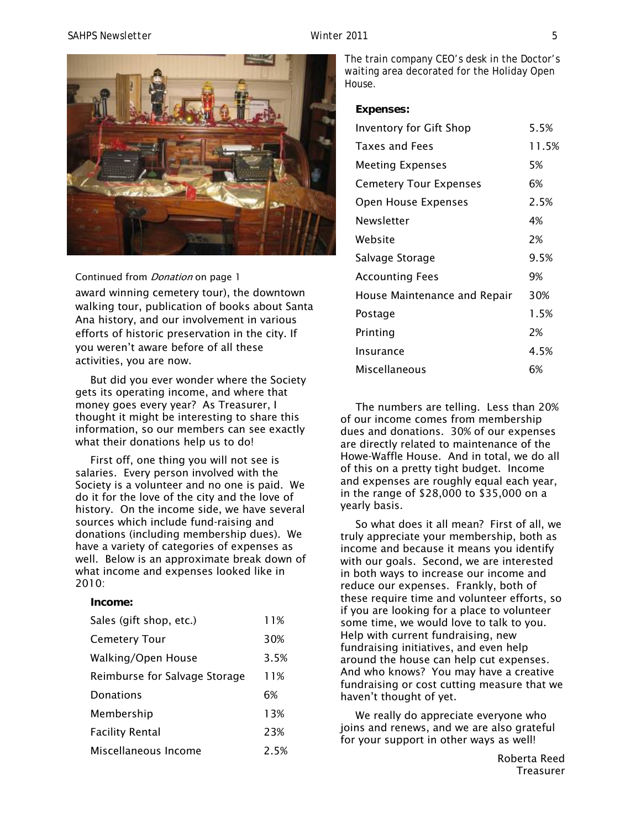#### *SAHPS Newsletter Winter 2011 5*



#### Continued from *Donation* on page 1

award winning cemetery tour), the downtown walking tour, publication of books about Santa Ana history, and our involvement in various efforts of historic preservation in the city. If you weren't aware before of all these activities, you are now.

But did you ever wonder where the Society gets its operating income, and where that money goes every year? As Treasurer, I thought it might be interesting to share this information, so our members can see exactly what their donations help us to do!

First off, one thing you will not see is salaries. Every person involved with the Society is a volunteer and no one is paid. We do it for the love of the city and the love of history. On the income side, we have several sources which include fund-raising and donations (including membership dues). We have a variety of categories of expenses as well. Below is an approximate break down of what income and expenses looked like in 2010:

#### **Income:**

| Sales (gift shop, etc.)       | 11%  |
|-------------------------------|------|
| <b>Cemetery Tour</b>          | 30%  |
| Walking/Open House            | 3.5% |
| Reimburse for Salvage Storage | 11%  |
| Donations                     | 6%   |
| Membership                    | 13%  |
| <b>Facility Rental</b>        | 23%  |
| Miscellaneous Income          | 2.5% |

The train company CEO's desk in the Doctor's waiting area decorated for the Holiday Open House.

#### **Expenses:**

| <b>Inventory for Gift Shop</b> | 5.5%  |
|--------------------------------|-------|
| <b>Taxes and Fees</b>          | 11.5% |
| <b>Meeting Expenses</b>        | 5%    |
| <b>Cemetery Tour Expenses</b>  | 6%    |
| Open House Expenses            | 2.5%  |
| Newsletter                     | 4%    |
| Website                        | 2%    |
| Salvage Storage                | 9.5%  |
| <b>Accounting Fees</b>         | 9%    |
| House Maintenance and Repair   | 30%   |
| Postage                        | 1.5%  |
| Printing                       | 2%    |
| Insurance                      | 4.5%  |
| Miscellaneous                  | 6%    |

The numbers are telling. Less than 20% of our income comes from membership dues and donations. 30% of our expenses are directly related to maintenance of the Howe-Waffle House. And in total, we do all of this on a pretty tight budget. Income and expenses are roughly equal each year, in the range of \$28,000 to \$35,000 on a yearly basis.

So what does it all mean? First of all, we truly appreciate your membership, both as income and because it means you identify with our goals. Second, we are interested in both ways to increase our income and reduce our expenses. Frankly, both of these require time and volunteer efforts, so if you are looking for a place to volunteer some time, we would love to talk to you. Help with current fundraising, new fundraising initiatives, and even help around the house can help cut expenses. And who knows? You may have a creative fundraising or cost cutting measure that we haven't thought of yet.

We really do appreciate everyone who joins and renews, and we are also grateful for your support in other ways as well!

Roberta Reed **Treasurer**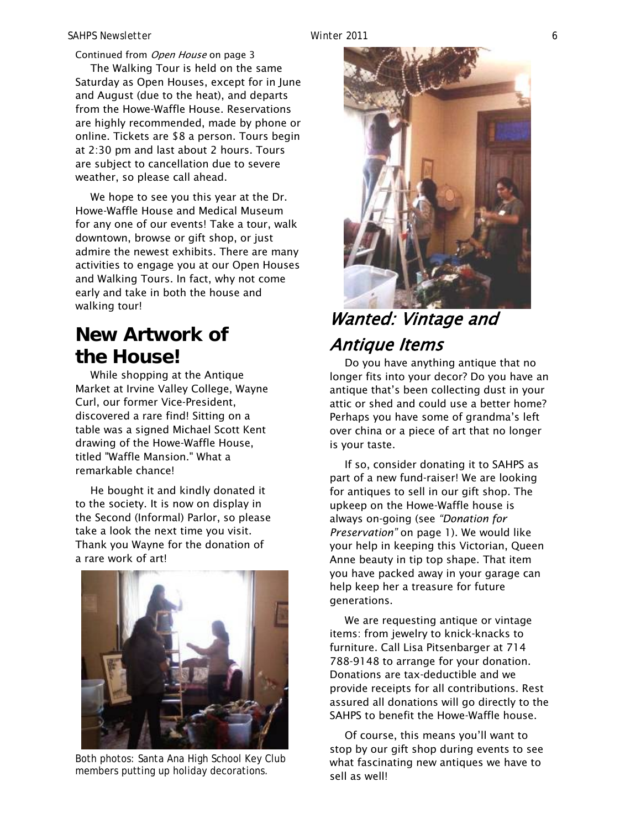Continued from Open House on page 3

The Walking Tour is held on the same Saturday as Open Houses, except for in June and August (due to the heat), and departs from the Howe-Waffle House. Reservations are highly recommended, made by phone or online. Tickets are \$8 a person. Tours begin at 2:30 pm and last about 2 hours. Tours are subject to cancellation due to severe weather, so please call ahead.

We hope to see you this year at the Dr. Howe-Waffle House and Medical Museum for any one of our events! Take a tour, walk downtown, browse or gift shop, or just admire the newest exhibits. There are many activities to engage you at our Open Houses and Walking Tours. In fact, why not come early and take in both the house and walking tour!

### **New Artwork of the House!**

While shopping at the Antique Market at Irvine Valley College, Wayne Curl, our former Vice-President, discovered a rare find! Sitting on a table was a signed Michael Scott Kent drawing of the Howe-Waffle House, titled "Waffle Mansion." What a remarkable chance!

He bought it and kindly donated it to the society. It is now on display in the Second (Informal) Parlor, so please take a look the next time you visit. Thank you Wayne for the donation of a rare work of art!



Both photos: Santa Ana High School Key Club members putting up holiday decorations.



# Wanted: Vintage and Antique Items

Do you have anything antique that no longer fits into your decor? Do you have an antique that's been collecting dust in your attic or shed and could use a better home? Perhaps you have some of grandma's left over china or a piece of art that no longer is your taste.

If so, consider donating it to SAHPS as part of a new fund-raiser! We are looking for antiques to sell in our gift shop. The upkeep on the Howe-Waffle house is always on-going (see *"Donation for Preservation"* on page 1). We would like your help in keeping this Victorian, Queen Anne beauty in tip top shape. That item you have packed away in your garage can help keep her a treasure for future generations.

We are requesting antique or vintage items: from jewelry to knick-knacks to furniture. Call Lisa Pitsenbarger at 714 788-9148 to arrange for your donation. Donations are tax-deductible and we provide receipts for all contributions. Rest assured all donations will go directly to the SAHPS to benefit the Howe-Waffle house.

Of course, this means you'll want to stop by our gift shop during events to see what fascinating new antiques we have to sell as well!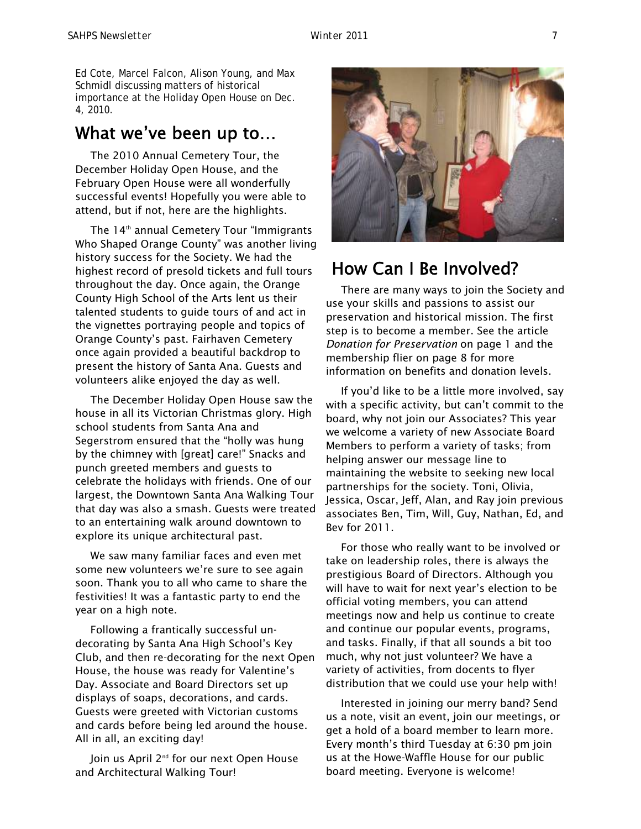Ed Cote, Marcel Falcon, Alison Young, and Max Schmidl discussing matters of historical importance at the Holiday Open House on Dec. 4, 2010.

### What we've been up to…

The 2010 Annual Cemetery Tour, the December Holiday Open House, and the February Open House were all wonderfully successful events! Hopefully you were able to attend, but if not, here are the highlights.

The 14<sup>th</sup> annual Cemetery Tour "Immigrants Who Shaped Orange County" was another living history success for the Society. We had the highest record of presold tickets and full tours throughout the day. Once again, the Orange County High School of the Arts lent us their talented students to guide tours of and act in the vignettes portraying people and topics of Orange County's past. Fairhaven Cemetery once again provided a beautiful backdrop to present the history of Santa Ana. Guests and volunteers alike enjoyed the day as well.

The December Holiday Open House saw the house in all its Victorian Christmas glory. High school students from Santa Ana and Segerstrom ensured that the "holly was hung by the chimney with [great] care!" Snacks and punch greeted members and guests to celebrate the holidays with friends. One of our largest, the Downtown Santa Ana Walking Tour that day was also a smash. Guests were treated to an entertaining walk around downtown to explore its unique architectural past.

We saw many familiar faces and even met some new volunteers we're sure to see again soon. Thank you to all who came to share the festivities! It was a fantastic party to end the year on a high note.

Following a frantically successful undecorating by Santa Ana High School's Key Club, and then re-decorating for the next Open House, the house was ready for Valentine's Day. Associate and Board Directors set up displays of soaps, decorations, and cards. Guests were greeted with Victorian customs and cards before being led around the house. All in all, an exciting day!

Join us April 2<sup>nd</sup> for our next Open House and Architectural Walking Tour!



### How Can I Be Involved?

There are many ways to join the Society and use your skills and passions to assist our preservation and historical mission. The first step is to become a member. See the article *Donation for Preservation* on page 1 and the membership flier on page 8 for more information on benefits and donation levels.

If you'd like to be a little more involved, say with a specific activity, but can't commit to the board, why not join our Associates? This year we welcome a variety of new Associate Board Members to perform a variety of tasks; from helping answer our message line to maintaining the website to seeking new local partnerships for the society. Toni, Olivia, Jessica, Oscar, Jeff, Alan, and Ray join previous associates Ben, Tim, Will, Guy, Nathan, Ed, and Bev for 2011.

For those who really want to be involved or take on leadership roles, there is always the prestigious Board of Directors. Although you will have to wait for next year's election to be official voting members, you can attend meetings now and help us continue to create and continue our popular events, programs, and tasks. Finally, if that all sounds a bit too much, why not just volunteer? We have a variety of activities, from docents to flyer distribution that we could use your help with!

Interested in joining our merry band? Send us a note, visit an event, join our meetings, or get a hold of a board member to learn more. Every month's third Tuesday at 6:30 pm join us at the Howe-Waffle House for our public board meeting. Everyone is welcome!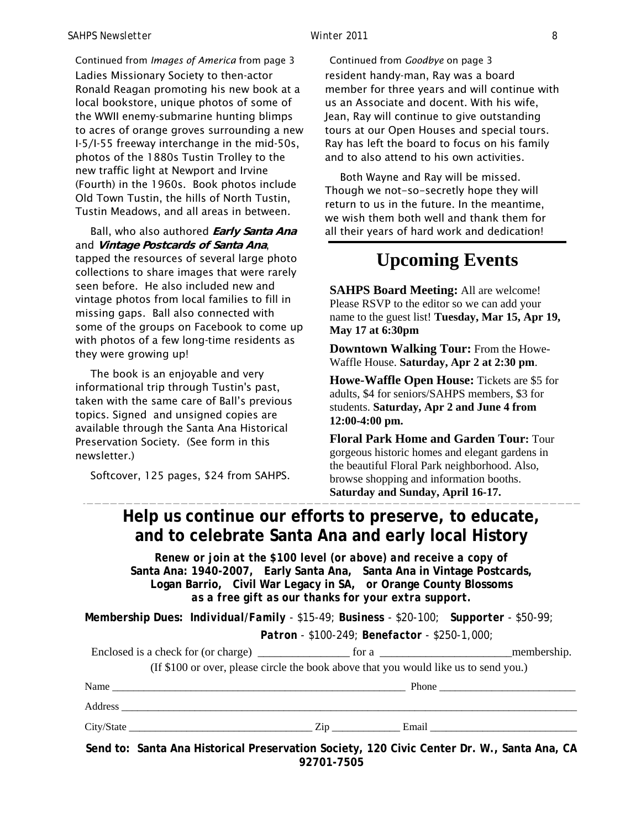#### *SAHPS Newsletter Winter 2011 8*

Ladies Missionary Society to then-actor Ronald Reagan promoting his new book at a local bookstore, unique photos of some of the WWII enemy-submarine hunting blimps to acres of orange groves surrounding a new I-5/I-55 freeway interchange in the mid-50s, photos of the 1880s Tustin Trolley to the new traffic light at Newport and Irvine (Fourth) in the 1960s. Book photos include Old Town Tustin, the hills of North Tustin, Tustin Meadows, and all areas in between. Continued from *Images of America* from page 3

Ball, who also authored **Early Santa Ana** and **Vintage Postcards of Santa Ana**, tapped the resources of several large photo collections to share images that were rarely seen before. He also included new and vintage photos from local families to fill in missing gaps. Ball also connected with some of the groups on Facebook to come up with photos of a few long-time residents as they were growing up!

The book is an enjoyable and very informational trip through Tustin's past, taken with the same care of Ball's previous topics. Signed and unsigned copies are available through the Santa Ana Historical Preservation Society. (See form in this newsletter.)

Softcover, 125 pages, \$24 from SAHPS.

resident handy-man, Ray was a board member for three years and will continue with us an Associate and docent. With his wife, Jean, Ray will continue to give outstanding tours at our Open Houses and special tours. Ray has left the board to focus on his family and to also attend to his own activities. Continued from *Goodbye* on page 3

Both Wayne and Ray will be missed. Though we not-so-secretly hope they will return to us in the future. In the meantime, we wish them both well and thank them for all their years of hard work and dedication!

### **Upcoming Events**

**SAHPS Board Meeting:** All are welcome! Please RSVP to the editor so we can add your name to the guest list! **Tuesday, Mar 15, Apr 19, May 17 at 6:30pm**

**Downtown Walking Tour:** From the Howe-Waffle House. **Saturday, Apr 2 at 2:30 pm**.

**Howe-Waffle Open House:** Tickets are \$5 for adults, \$4 for seniors/SAHPS members, \$3 for students. **Saturday, Apr 2 and June 4 from 12:00-4:00 pm.** 

**Floral Park Home and Garden Tour:** Tour gorgeous historic homes and elegant gardens in the beautiful Floral Park neighborhood. Also, browse shopping and information booths. **Saturday and Sunday, April 16-17.** 

### **Help us continue our efforts to preserve, to educate, and to celebrate Santa Ana and early local History**

*Renew or join at the \$100 level (or above) and receive a copy of*  **Santa Ana: 1940-2007***,* **Early Santa Ana, Santa Ana in Vintage Postcards, Logan Barrio, Civil War Legacy in SA,** *or* **Orange County Blossoms** *as a free gift as our thanks for your extra support.* 

**Membership Dues:** *Individual/Family - \$15-49; Business - \$20-100; Supporter - \$50-99; Patron - \$100-249; Benefactor - \$250-1,000;* 

| (If \$100 or over, please circle the book above that you would like us to send you.)       |  |  |
|--------------------------------------------------------------------------------------------|--|--|
|                                                                                            |  |  |
|                                                                                            |  |  |
|                                                                                            |  |  |
| Send to: Santa Ana Historical Preservation Society, 120 Civic Center Dr. W., Santa Ana, CA |  |  |

**92701-7505**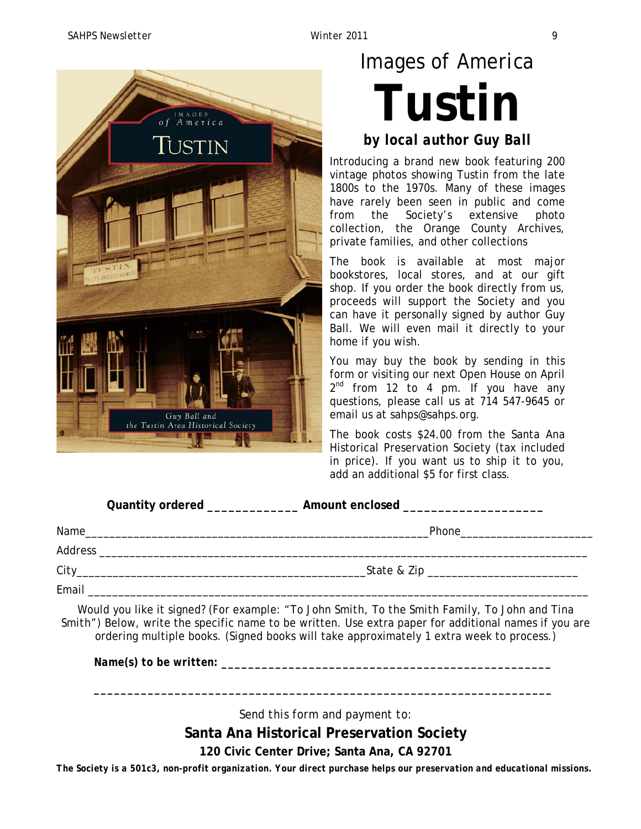

# *Images of America* **Tustin**

### *by local author Guy Ball*

Introducing a brand new book featuring 200 vintage photos showing Tustin from the late 1800s to the 1970s. Many of these images have rarely been seen in public and come from the Society's extensive photo collection, the Orange County Archives, private families, and other collections

The book is available at most major bookstores, local stores, and at our gift shop. If you order the book directly from us, proceeds will support the Society and you can have it personally signed by author Guy Ball. We will even mail it directly to your home if you wish.

You may buy the book by sending in this form or visiting our next Open House on April  $2^{nd}$  from 12 to 4 pm. If you have any questions, please call us at 714 547-9645 or email us at sahps@sahps.org.

The book costs \$24.00 from the Santa Ana Historical Preservation Society (tax included in price). If you want us to ship it to you, add an additional \$5 for first class.

| Name  | Phone____________________________<br><u> 2000 - Januar Amerikaanse Amerikaanse konstantinoplebindus (h. 2000).</u> |  |
|-------|--------------------------------------------------------------------------------------------------------------------|--|
|       |                                                                                                                    |  |
|       |                                                                                                                    |  |
| Email |                                                                                                                    |  |

Would you like it signed? (For example: *"To John Smith, To the Smith Family, To John and Tina Smith")* Below, write the specific name to be written. Use extra paper for additional names if you are ordering multiple books. (Signed books will take approximately 1 extra week to process.)

*Name(s) to be written:* 

*Send this form and payment to:* 

*\_\_\_\_\_\_\_\_\_\_\_\_\_\_\_\_\_\_\_\_\_\_\_\_\_\_\_\_\_\_\_\_\_\_\_\_\_\_\_\_\_\_\_\_\_\_\_\_\_\_\_\_\_\_\_\_\_\_\_\_\_\_\_\_\_\_\_\_*

**Santa Ana Historical Preservation Society** 

**120 Civic Center Drive; Santa Ana, CA 92701**

*The Society is a 501c3, non-profit organization. Your direct purchase helps our preservation and educational missions.*